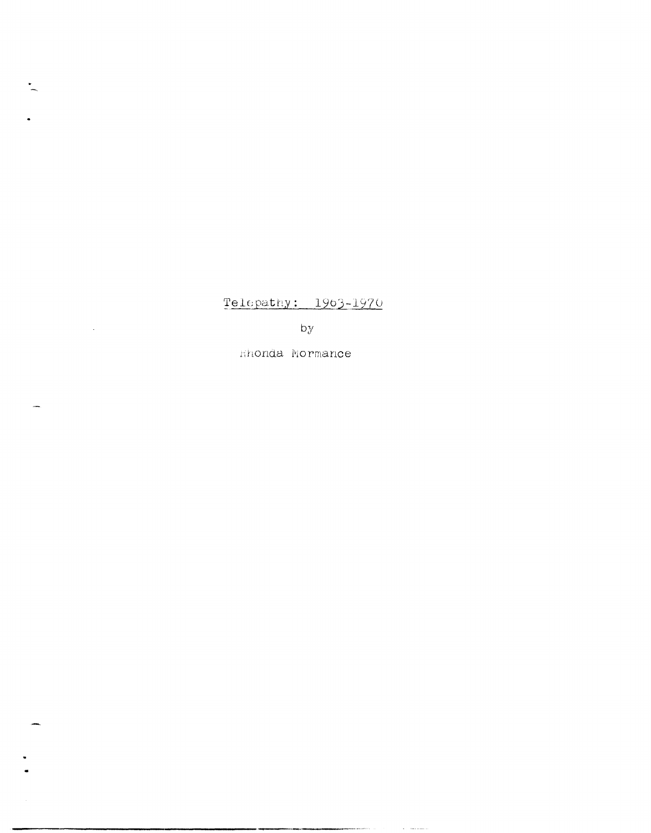## Telepathy: 1963-1970

by

Hhonda Mormance

 $\mathbf{L}$ 

 $\ddot{\phantom{0}}$ 

 $\overline{\phantom{a}}$ 

 $\mathcal{L}^{\text{max}}_{\text{max}}$  , where  $\mathcal{L}^{\text{max}}_{\text{max}}$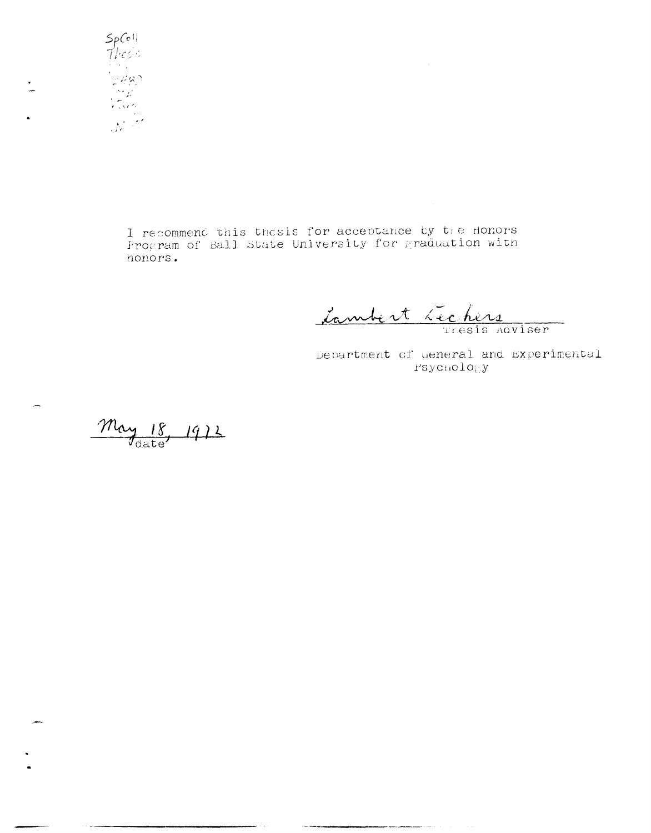

I recommend this thosis for acceptance by the Honors<br>Program of Ball State University for graduation with honors.

Cambert Lechers

 $\bar{z}$ 

Department of General and Experimental Psychology

 $\frac{m_{\text{dy}}}{\text{Value}}$  1912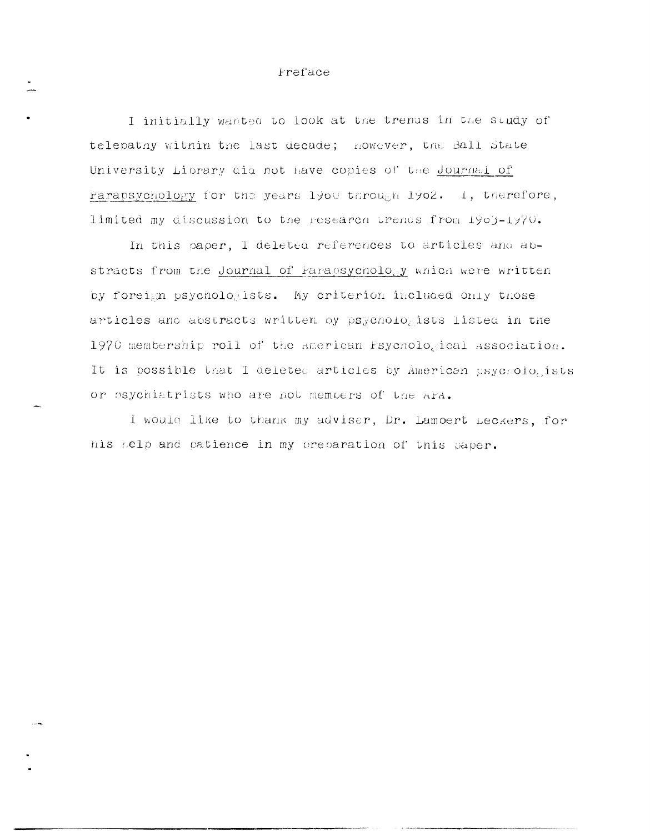## Freface

I initially wanted to look at the trenus in the study of telepathy within the last decade; nowever, the Ball State University Library did not have copies of the Journal of Parapsychology for the years 1900 through 1902. 1, therefore, limited my discussion to the research trends from 1903-1970.

In this paper, I deleted references to articles and abstracts from the Journal of Farapsychology which were written by foreign psychologists. My criterion included only those articles and abstracts written by psychologists listed in the 1970 membership roll of the american Fsychological association. It is possible that I deleted articles by American psychologists or osychiatrists who are not members of the APA.

I would like to thank my adviser, Dr. Lamoert Leckers, for his nelp and patience in my preparation of this paper.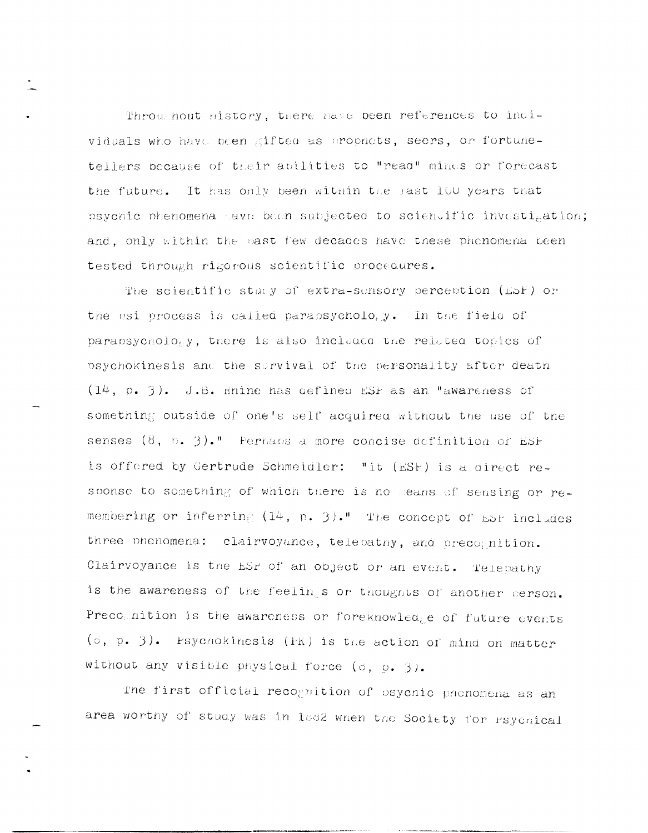Throughout history, there have been references to individuals who have been gifted as prophets, seers, or fortunetellers because of their apilities to "read" minus or forecast the future. It has only been within the last 100 years that psychic phenomena save been subjected to sciencific investigation; and, only within the past few decades have these phenomena been tested through rigorous scientific procedures.

The scientific study of extra-sensory perception (ESF) or the osi process is called parapsychology. In the field of parapsychology, there is also included the related topics of psychokinesis and the sorvival of the personality after death  $(14, p. 3)$ . J.B. mhine has defined ESP as an "awareness of something outside of one's self acquired without the use of the senses  $(8, 5, 3)$ ." Perhans a more concise definition of ESF is offered by Gertrude Schmeidler: "it (ESP) is a direct resoonse to something of which there is no means of sensing or remembering or inferring (14, p. 3)." The concept of ESP includes three phenomena: clairvoyance, telepathy, and precognition. Clairvoyance is the ESP of an object or an event. Telepathy is the awareness of the feelings or thoughts of another person. Precommition is the awareness or foreknowledge of future events (c, p. 3). Esychokinesis (PK) is the action of mind on matter without any visible physical force (d, g. 3).

The first official recognition of esycnic pnenomena as an area worthy of study was in lod2 when the Society for Psychical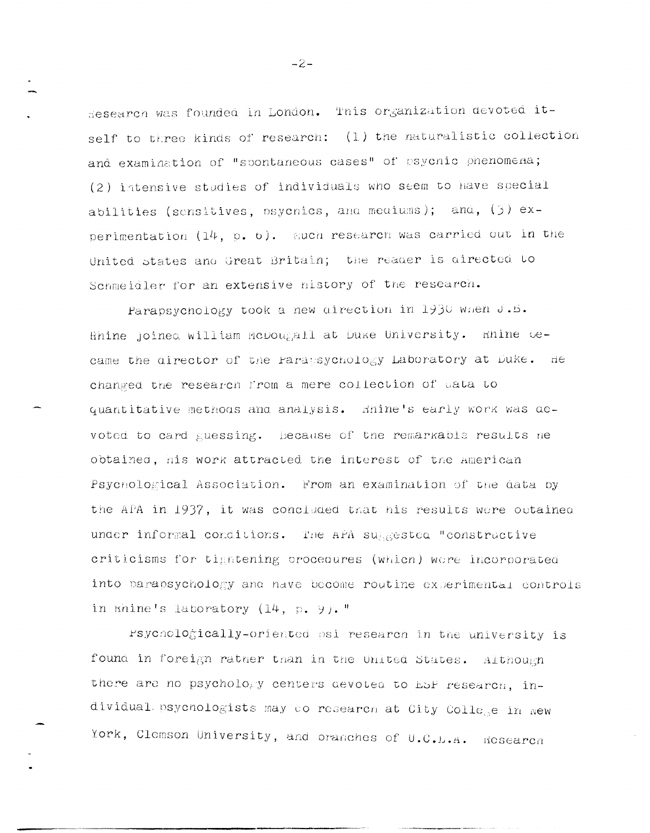Hesearch was founded in London. This organization devoted itself to three kinds of research: (1) the naturalistic collection and examination of "spontaneous cases" of psychic phenomena; (2) intensive studies of individuals who seem to have special abilities (sensitives, osycnics, and mediums); and, (3) experimentation  $(14, p. 6)$ . much research was carried out in the United states and Great Britain; the reader is directed to Schmeidler for an extensive nistory of the research.

Parapsychology took a new direction in 1930 when J.B. Rhine joined william McDougall at Duke University. Rhine oecame the director of the Parapsychology Laboratory at Duke. He changed the research from a mere collection of data to quantitative methods and analysis. Shine's early work was devoted to card guessing. Because of the remarkable results ne obtained, his work attracted the interest of the American Psychological Association. From an examination of the data by the APA in 1937, it was concluded that his results were outained under informal conditions. The APA suggested "constructive criticisms for tightening procedures (which) ware incorporated into parapsychology and have become routine experimental controls in khine's laboratory  $(14, p. 9)$ ."

Psychologically-oriented psi research in the university is found in foreign rather than in the United States. Although there are no psychology centers devoted to ESP research, individual psychologists may do research at City College in New York, Clemson University, and oranches of U.C.L.A. Research

 $-2-$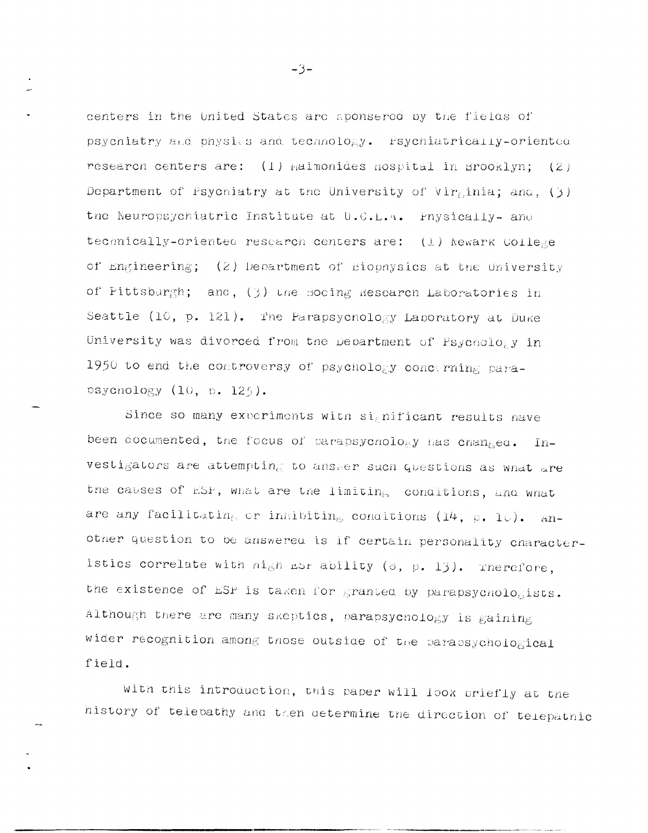centers in the United States are sponsered by the fielas of psychiatry and physics and technology. Fsychiatrically-oriented research centers are:  $(1)$  haimonides hospital in Brooklyn;  $(2)$ Department of Psychiatry at the University of Virginia; and,  $(3)$ the Neuropsychiatric Institute at U.C.L.A. Physically- and tecanically-oriented rescarch centers are: (1) Newark College of Engineering; (2) Department of Biophysics at the University of Fittsburgh; and, (3) une Bocing Research Laboratories in Seattle (10, p. 121). The Parapsychology Laboratory at Duke University was divorced from the Department of Psychology in 1950 to end the controversy of psychology concerning parapsychology (10, p. 125).

Since so many experiments with significant results have been documented, the focus of parapsychology has changed. Investigators are attempting to answer such questions as what are the causes of ESP, what are the limiting conditions, and what are any facilitating or inhibiting conditions (14,  $\rho$ , 10). Another question to be answered is if certain personality characteristics correlate with night dor ability (o, p. 13). Therefore, the existence of ESP is taken for granted by parapsychologists. Although there are many skeptics, parapsychology is gaining wider recognition among those outside of the parapsychological field.

With this introduction, this paper will look briefly at the history of telepathy and then determine the direction of telepathic

 $-3-$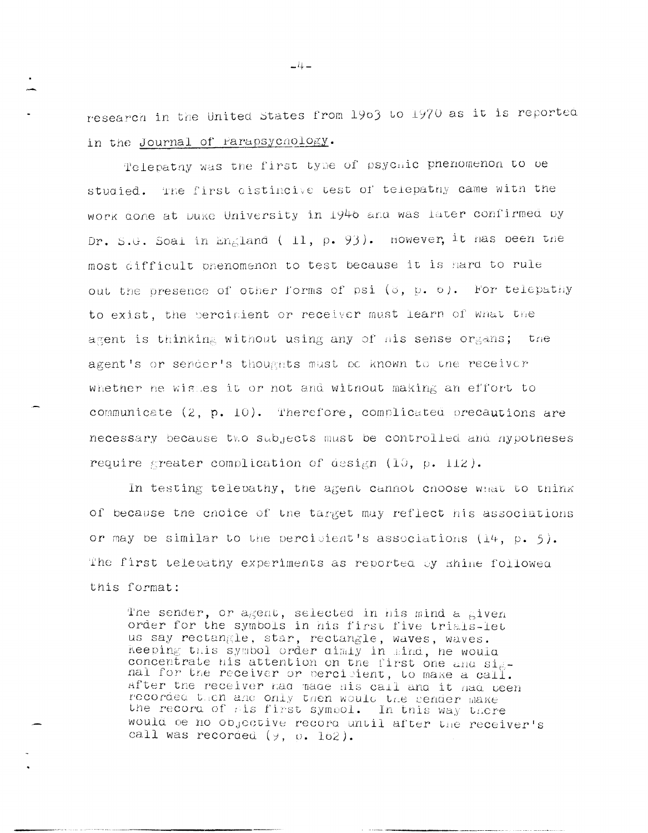research in the United States from 1903 to 1970 as it is reported in the Journal of Parapsychology.

Telepathy was the first type of psychic phenomenon to be studied. The first distincive test of telepathy came with the work done at Duke University in 1946 and was later confirmed by Dr. S.G. Soal in England (11, p. 93). However, it has been the most difficult onenomenon to test because it is hard to rule out the presence of other forms of psi (8, p. b). For telepathy to exist, the percipient or receiver must learn of what the agent is thinking without using any of his sense organs; the agent's or sender's thoughts must be known to the receiver whether he wishes it or not and without making an effort to communicate (2, p. 10). Therefore, complicated precautions are necessary because two subjects must be controlled and hypotheses require greater complication of design (10, p. 112).

In testing telepathy, the agent cannot choose what to think of because the choice of the target may reflect his associations or may be similar to the percipient's associations  $(14, p. 5)$ . The first telecathy experiments as reported by shine followed this format:

The sender, or agent, selected in his mind a given order for the symbols in his first five trials-let us say rectangle, star, rectangle, waves, waves. Reeping this symbol order dimity in mind, he would concentrate his attention on the first one and signal for the receiver or percipient, to make a call. after the receiver had made his call and it had been recorded then and only then would the sender make the record of his first symbol. In this way there would be no objective record until after the receiver's call was recorded  $(y, 0.162)$ .

 $\frac{1}{2}$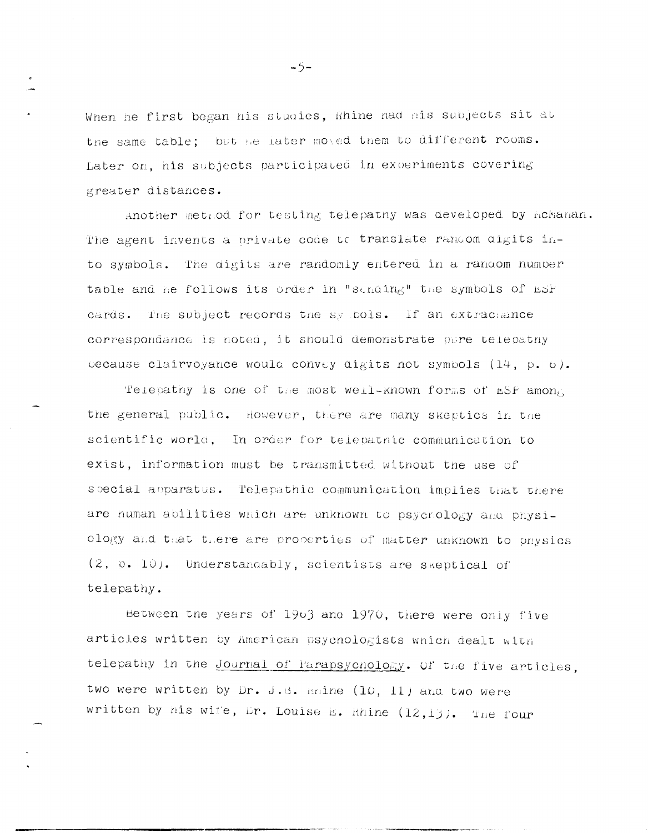When he first began his studies, Rhine nad his subjects sit at the same table; but he later moved them to different rooms. Later on, his subjects participated in experiments covering greater distances.

Another method for testing telepathy was developed by hchanan. The agent invents a private code to translate random digits into symbols. The digits are randomly entered in a random number table and he follows its order in "sending" the symbols of ESP cards. The subject records the sy pols. If an extrachance correspondance is noted, it should demonstrate pure telepatny because clairvoyance would convey digits not symbols  $(14, p, 6)$ .

Telepathy is one of the most well-known forms of ESP among the general public. However, there are many skeptics in the scientific world, In order for telepatnic communication to exist, information must be transmitted witnout the use of soecial apparatus. Telepathic communication implies that there are human abilities which are unknown to psychology and physiology and that there are properties of matter unknown to physics (2, p. 10). Understandably, scientists are skeptical of telepathy.

Between the years of 1903 and 1970, there were only five articles written by American psychologists which dealt with telepathy in the Journal of Parapsychology. Of the five articles, two were written by Dr. J.B. Enine (10, 11) and two were written by his wife, Dr. Louise E. Rhine (12,13). The four

 $-5-$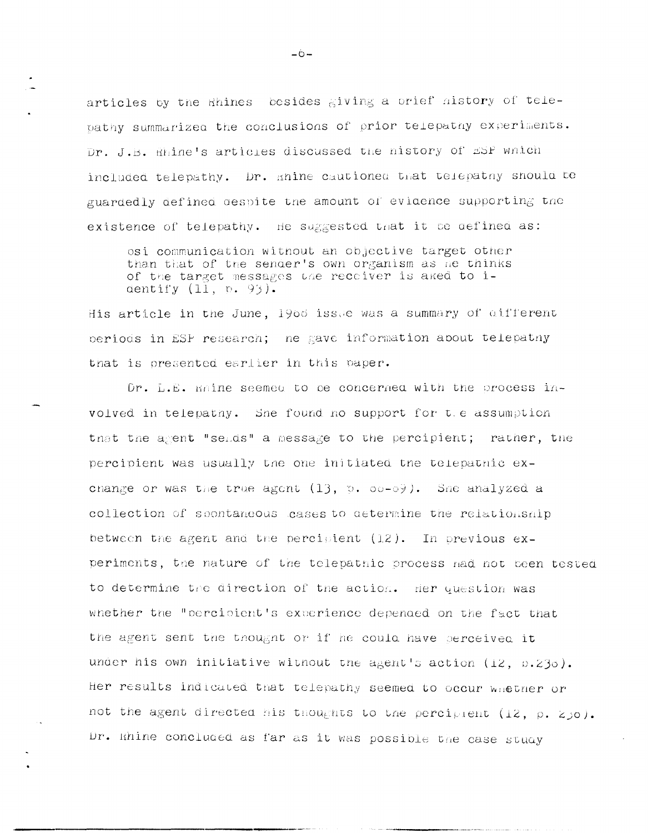articles by the Rhines besides giving a prief history of telepathy summarized the conclusions of prior telepathy experiments. Dr. J.B. Rhine's articles discussed the nistory of ESP which included telepathy. Dr. mine cautioned that telepathy should be guardedly defined despite the amount of evidence supporting the existence of telepathy. He suggested that it be defined as:

osi communication without an objective target other than that of the sender's own organism as he thinks of the target messages the receiver is aked to identify  $(11, p. 93)$ .

His article in the June, 1966 issue was a summary of different periods in ESP research; he gave information about telepathy that is presented earlier in this paper.

Dr. L.E. maine seemed to be concerned with the process involved in telepathy. She found no support for t.e assumption that the agent "selds" a message to the percipient; rather, the percipient was usually the one initiated the telepathic exchange or was the true agent  $(13, 5, 00-03)$ . She analyzed a collection of spontaneous cases to determine the relationship between the agent and the percipient (12). In previous experiments, the nature of the telepathic process had not been tested to determine the direction of the action. Her question was whether the "percipient's experience depended on the fact that the agent sent the thought or if he could have serceived it under his own initiative without the agent's action (12, p.23d). Her results indicated that telepathy seemed to occur whether or not the agent directed his thoughts to the perciplent (12, p. 250). Dr. Enine concluded as far as it was possible the case study

 $-\dot{\theta}$  –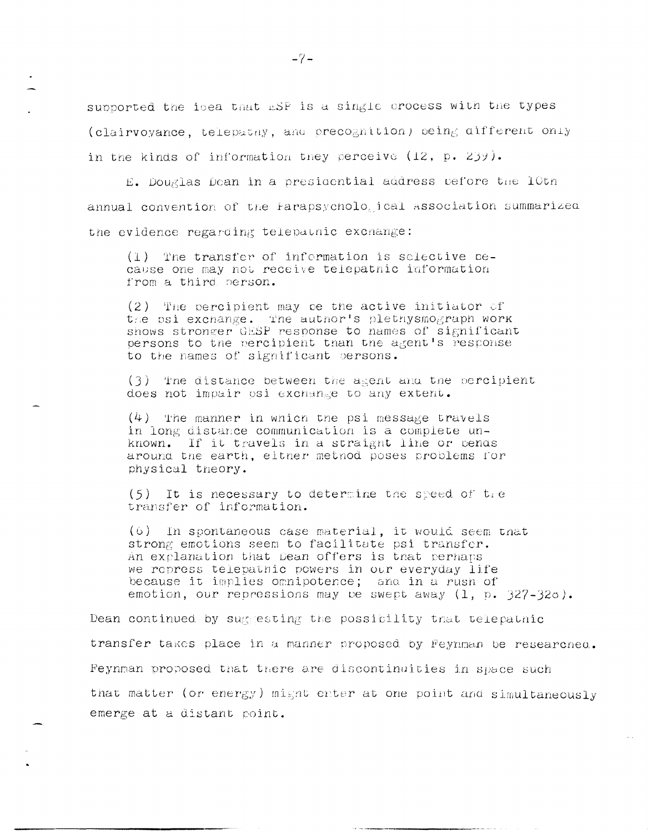supported the icea that ESP is a single crocess with the types (clairvoyance, telepathy, and precognition) being different only in the kinds of information they perceive (12, p. 239).

E. Douglas Dean in a presidential address pefore the 10th annual convention of the Farapsycholo ical association summarized the evidence regarding telepathic exchange:

(1) The transfer of information is selective cecause one may not receive telepathic information from a third person.

(2) The percipient may be the active initiator of the psi exchange. The author's plethysmograph work shows stronger GESP response to names of significant persons to the percipient than the agent's response to the names of significant persons.

(3) The distance between the agent and the percipient does not impair osi exchange to any extent.

 $(4)$  The manner in which the psi message travels in long distance communication is a complete unknown. If it travels in a straight line or bends around the earth, either method poses problems for physical theory.

 $(5)$  It is necessary to determine the speed of tre transfer of information.

(6) In spontaneous case material, it would seem that strong emotions seem to facilitate psi transfer. An explanation that Dean offers is that perhaps we repress telepathic powers in our everyday life because it implies omnipotence; and in a rush of emotion, our repressions may be swept away (1, p. 327-32o).

Dean continued by suggesting the possibility that telepathic transfer takes place in a manner proposed by Feynman be researched. Feynman proposed that there are discontinuities in space such that matter (or energy) might enter at one point and simultaneously emerge at a distant point.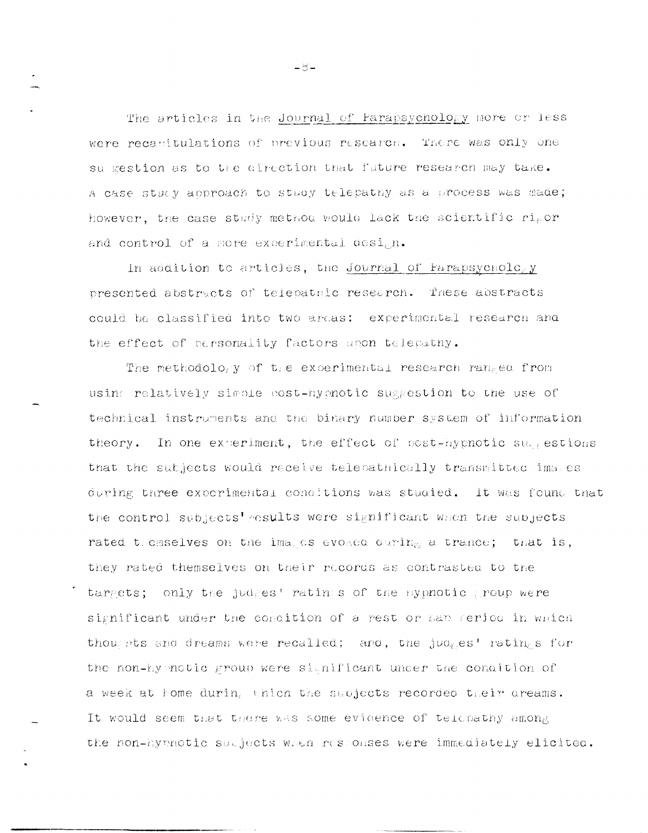The articles in the Journal of Parapsychology more or less were recanitulations of previous research. There was only one su gestion as to the direction that future research may take. A case study approach to study telepathy as a process was made; however, the case study method would lack the scientific ripor and control of a more experimental design.

In addition to articles, the Journal of Parapsychology presented abstracts of telepatric research. These abstracts could be classified into two areas: experimental research and the effect of personality factors upon telepathy.

The methodology of the experimental research ranged from using relatively simple cost-hymotic suggestion to the use of technical instruments and the binary number system of information theory. In one experiment, the effect of post-hypnotic su, estions that the subjects would receive telepathically transmitted images during three experimental conditions was studied. It was found that the control subjects' results were significant when the subjects rated themselves on the images evolved ouring, a trance; that is, they rated themselves on their records as contrasted to the targets; only the judges' ratings of the sypnotic group were significant under the condition of a rest or han rerico in which thousats and dreams were recalled; and, the judges' ratings for the non-hymotic group were significant under the condition of a week at home during which the subjects recorded their oreams. It would seem that there was some evidence of telepathy among the non-hymnotic subjects when responses were immediately elicited.

 $-8-$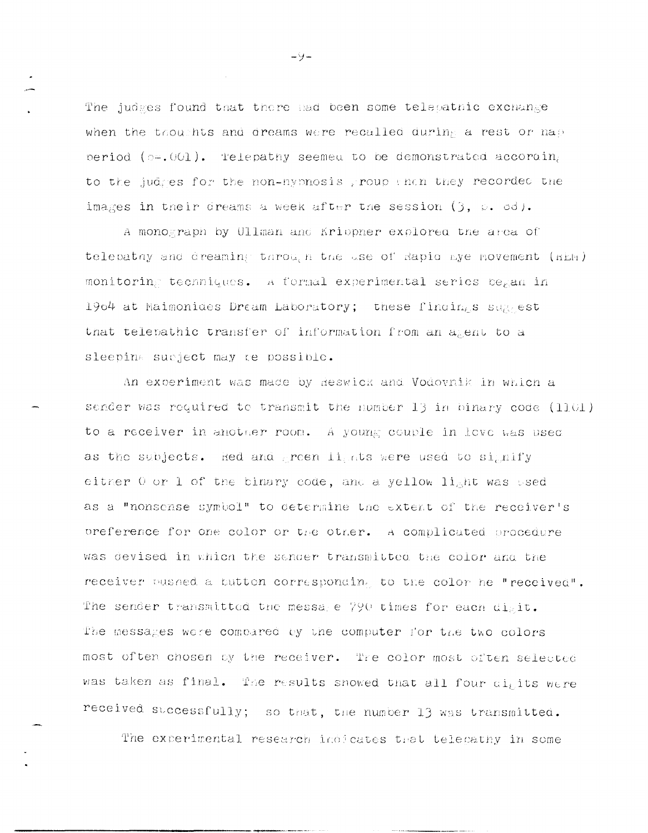The judges found that there had been some telepathic exchange when the thoughts and dreams were recalled during a rest or map period ( $p=0.001$ ). Telepathy seemed to be demonstrated according to the judges for the non-nypnosis group enen they recorded the images in their dreams a week after the session  $(3, 6, 3)$ .

A monograph by Ullman and Krippner explored the area of telepathy and dreaming through the use of Rapid Eye Movement (KER) monitoring tecnniques. A formal experimental series began in 1904 at Maimonides Dream Laboratory; these findings suggest that telepathic transfer of information from an agent to a sleeping sucject may be possible.

An experiment was made by Reswick and Vodovnik in which a sender was required to transmit the number 13 in binary code (1101) to a receiver in another room. A young couple in love was used as the subjects. Red and green lights were used to signify either 0 or 1 of the binary code, and a yellow light was used as a "nonsense symbol" to determine the extent of the receiver's oreference for one color or the other. A complicated procedure was devised in which the sander transmitted the color and the receiver pushed a button corresponding to the color he "received". The sender transmitted the message 790 times for each digit. The messages were compared by the computer for the two colors most often chosen by the receiver. The color most often selected was taken as final. The results snowed that all four digits were received successfully; so that, the number 13 was transmitted.

The experimental research indicates that telecathy in some

 $-9-$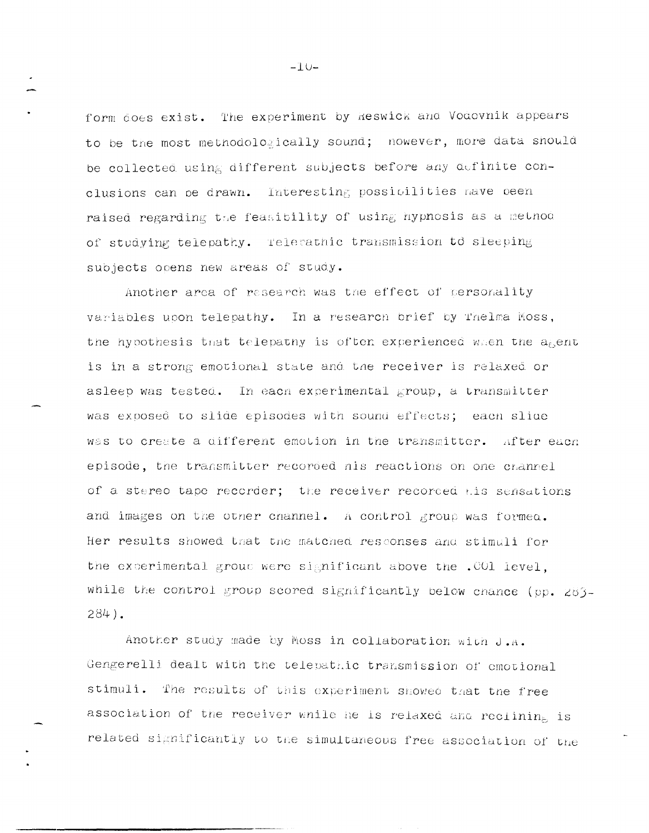form does exist. The experiment by Reswick and Vodovnik appears to be the most methodologically sound; nowever, more data should be collected using different subjects before any definite conclusions can be drawn. Interesting possibilities nave been raised regarding the feasibility of using hypnosis as a method of studying telepathy. Telerathic transmission to sleeping subjects opens new areas of study.

Another area of research was the effect of personality variables upon telepathy. In a research brief by Thelma Moss, the hypothesis that telepathy is often experienced when the agent is in a strong emotional state and the receiver is relaxed or asleep was tested. In each experimental group, a transmitter was exposed to slide episodes with sound effects; each slide was to create a different emotion in the transmitter. After each episode, the transmitter recorded nis reactions on one channel of a stereo tape recorder; the receiver recorded his sensations and images on the other channel. A control group was formed. Her results showed that the matched responses and stimuli for the experimental group were significant above the .001 level, while the control group scored significantly below chance (pp. 283- $284$ ).

Another study made by Moss in collaboration with J.A. Gengerelli dealt with the telepathic transmission of emotional stimuli. The results of this experiment showed that the free association of the receiver while he is relaxed and reclining is related significantly to the simultaneous free association of the

 $-10-$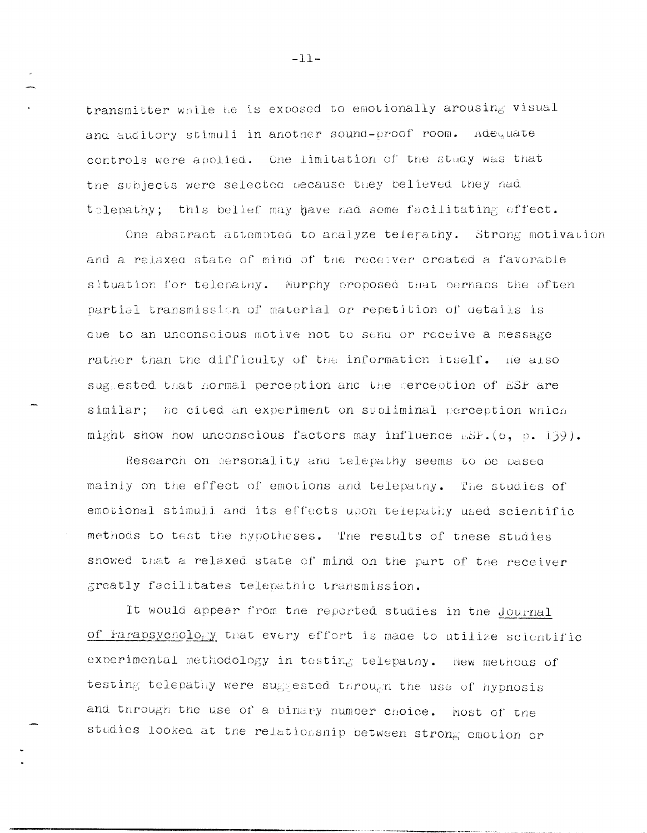transmitter while he is exposed to emotionally arousing visual and auditory stimuli in another sound-proof room. Adequate controls were applied. One limitation of the study was that the subjects were selected because they believed they had telepathy; this belief may have nad some facilitating effect.

One abstract attempted to analyze telepathy. Strong motivation and a relaxed state of mind of the receiver created a favorable situation for telepathy. Murphy proposed that perhaps the often partial transmission of material or repetition of details is due to an unconscious motive not to sena or receive a message rather than the difficulty of the information itself. He also suggested that hormal perception and the cerception of ESP are similar; he cited an experiment on subliminal perception which might show how unconscious factors may influence ESP. (6, p. 139).

Research on personality and telepathy seems to be pased mainly on the effect of emotions and telepatny. The studies of emotional stimuli and its effects upon telepathy used scientific methods to test the hypotheses. The results of these studies showed that a relaxed state of mind on the part of the receiver greatly facilitates telepathic transmission.

It would appear from the reported studies in the Journal of Parapsychology that every effort is made to utilize scientific experimental methodology in testing telepatny. New methods of testing telepathy were suggested through the use of hypnosis and through the use of a binary number choice. Most of the studies looked at the relationship between strong emotion or

 $-11-$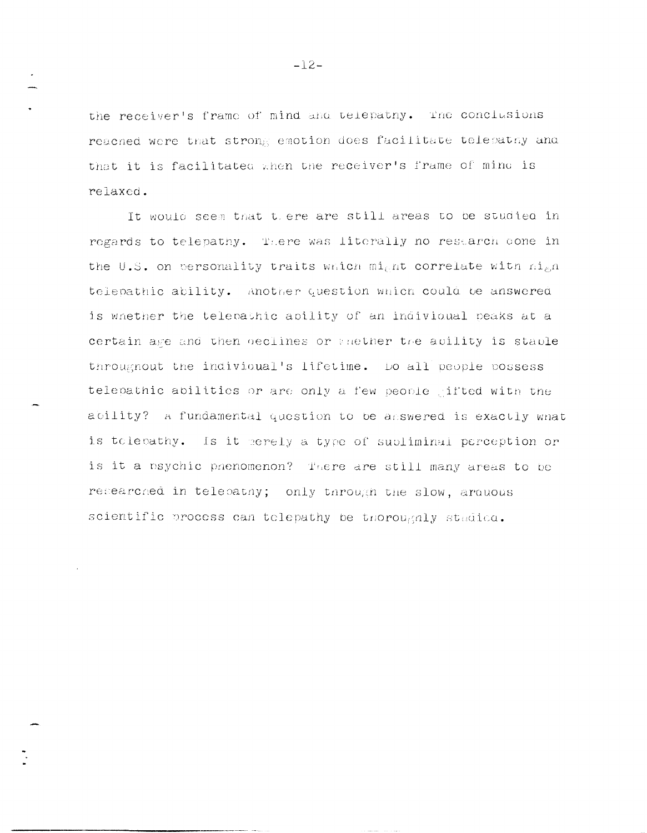the receiver's frame of mind and telepatny. The conclusions reached were that strong emotion does facilitate telepathy and that it is facilitated when the receiver's frame of mind is relaxed.

It would seem that there are still areas to be studied in regards to telepathy. There was literally no restarch cone in the U.S. on personality traits which might correlate with high telepathic ability. Another question which could be answered is whether the telepathic apility of an indivioual peaks at a certain age and then declines or anether the ability is stable througnout the individual's lifetime. Do all people possess telepathic abilities or are only a few people ifted with the ability? A fundamental question to be asswered is exactly what is tolepathy. Is it perely a type of subliminal perception or is it a psychic phenomenon? There are still many areas to be researched in telepathy; only through the slow, arouous scientific process can telepathy be thoroughly stadica.

 $-12-$